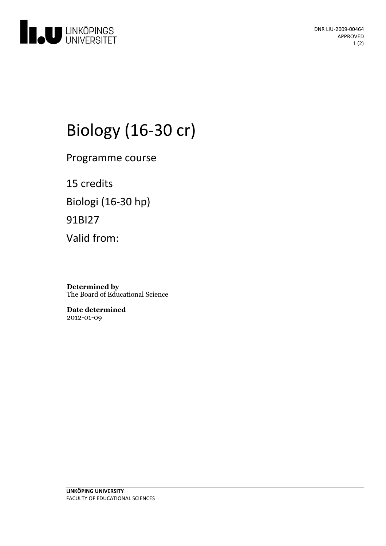

DNR LIU-2009-00464 APPROVED 1 (2)

# Biology (16-30 cr)

Programme course

15 credits Biologi (16-30 hp) 91BI27 Valid from:

**Determined by** The Board of Educational Science

**Date determined** 2012-01-09